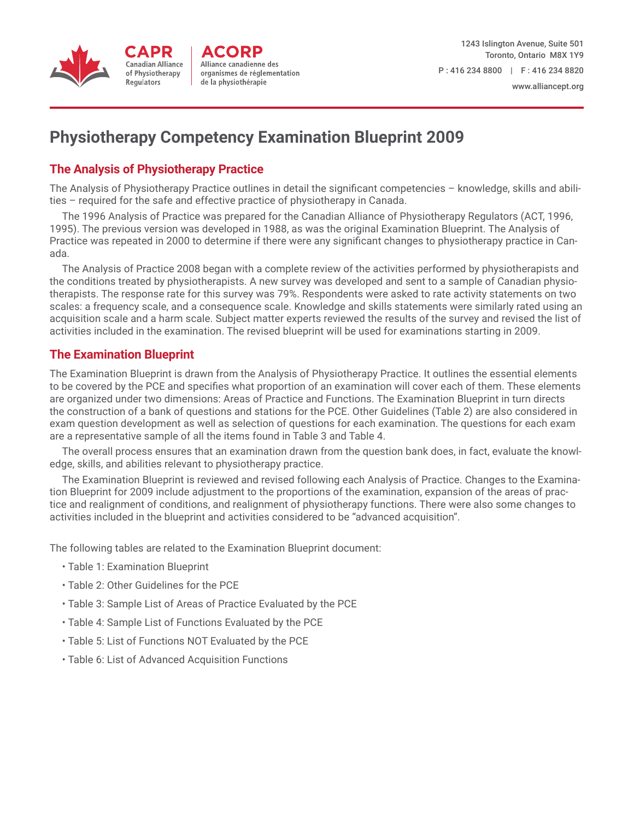

# **Physiotherapy Competency Examination Blueprint 2009**

# **The Analysis of Physiotherapy Practice**

The Analysis of Physiotherapy Practice outlines in detail the significant competencies – knowledge, skills and abilities – required for the safe and effective practice of physiotherapy in Canada.

The 1996 Analysis of Practice was prepared for the Canadian Alliance of Physiotherapy Regulators (ACT, 1996, 1995). The previous version was developed in 1988, as was the original Examination Blueprint. The Analysis of Practice was repeated in 2000 to determine if there were any significant changes to physiotherapy practice in Canada.

The Analysis of Practice 2008 began with a complete review of the activities performed by physiotherapists and the conditions treated by physiotherapists. A new survey was developed and sent to a sample of Canadian physiotherapists. The response rate for this survey was 79%. Respondents were asked to rate activity statements on two scales: a frequency scale, and a consequence scale. Knowledge and skills statements were similarly rated using an acquisition scale and a harm scale. Subject matter experts reviewed the results of the survey and revised the list of activities included in the examination. The revised blueprint will be used for examinations starting in 2009.

# **The Examination Blueprint**

The Examination Blueprint is drawn from the Analysis of Physiotherapy Practice. It outlines the essential elements to be covered by the PCE and specifies what proportion of an examination will cover each of them. These elements are organized under two dimensions: Areas of Practice and Functions. The Examination Blueprint in turn directs the construction of a bank of questions and stations for the PCE. Other Guidelines (Table 2) are also considered in exam question development as well as selection of questions for each examination. The questions for each exam are a representative sample of all the items found in Table 3 and Table 4.

The overall process ensures that an examination drawn from the question bank does, in fact, evaluate the knowledge, skills, and abilities relevant to physiotherapy practice.

The Examination Blueprint is reviewed and revised following each Analysis of Practice. Changes to the Examination Blueprint for 2009 include adjustment to the proportions of the examination, expansion of the areas of practice and realignment of conditions, and realignment of physiotherapy functions. There were also some changes to activities included in the blueprint and activities considered to be "advanced acquisition".

The following tables are related to the Examination Blueprint document:

- Table 1: Examination Blueprint
- Table 2: Other Guidelines for the PCE
- Table 3: Sample List of Areas of Practice Evaluated by the PCE
- Table 4: Sample List of Functions Evaluated by the PCE
- Table 5: List of Functions NOT Evaluated by the PCE
- Table 6: List of Advanced Acquisition Functions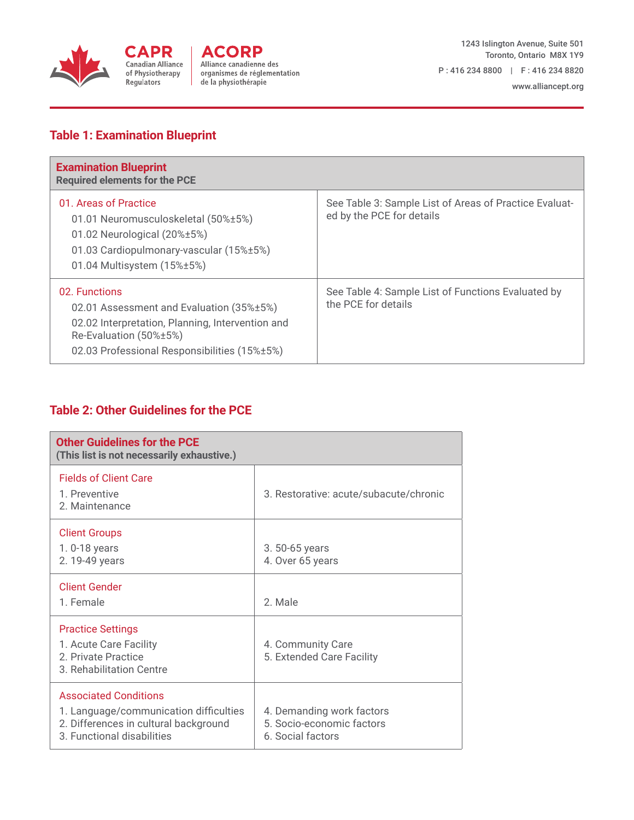

# **Table 1: Examination Blueprint**

| <b>Examination Blueprint</b><br><b>Required elements for the PCE</b>                                                                                                                    |                                                                                     |
|-----------------------------------------------------------------------------------------------------------------------------------------------------------------------------------------|-------------------------------------------------------------------------------------|
| 01. Areas of Practice<br>01.01 Neuromusculoskeletal (50%±5%)<br>01.02 Neurological $(20\% \pm 5\%)$<br>01.03 Cardiopulmonary-vascular (15%±5%)<br>01.04 Multisystem (15%±5%)            | See Table 3: Sample List of Areas of Practice Evaluat-<br>ed by the PCE for details |
| 02. Functions<br>02.01 Assessment and Evaluation (35%±5%)<br>02.02 Interpretation, Planning, Intervention and<br>Re-Evaluation (50%±5%)<br>02.03 Professional Responsibilities (15%±5%) | See Table 4: Sample List of Functions Evaluated by<br>the PCE for details           |

# **Table 2: Other Guidelines for the PCE**

| <b>Other Guidelines for the PCE</b><br>(This list is not necessarily exhaustive.)                                                             |                                                                             |
|-----------------------------------------------------------------------------------------------------------------------------------------------|-----------------------------------------------------------------------------|
| <b>Fields of Client Care</b><br>1 Preventive<br>2. Maintenance                                                                                | 3. Restorative: acute/subacute/chronic                                      |
| <b>Client Groups</b><br>1. 0-18 years<br>2. 19-49 years                                                                                       | 3.50-65 years<br>4. Over 65 years                                           |
| <b>Client Gender</b><br>1. Female                                                                                                             | 2. Male                                                                     |
| <b>Practice Settings</b><br>1. Acute Care Facility<br>2. Private Practice<br>3. Rehabilitation Centre                                         | 4. Community Care<br>5. Extended Care Facility                              |
| <b>Associated Conditions</b><br>1. Language/communication difficulties<br>2. Differences in cultural background<br>3. Functional disabilities | 4. Demanding work factors<br>5. Socio-economic factors<br>6. Social factors |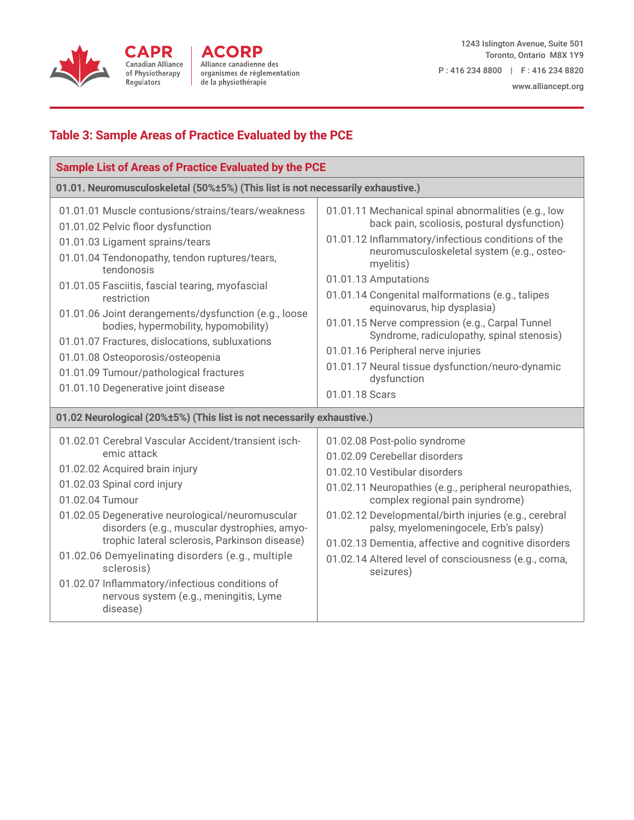

## www.alliancept.org

# **Table 3: Sample Areas of Practice Evaluated by the PCE**

| <b>Sample List of Areas of Practice Evaluated by the PCE</b>                                                                                                                                                                                                                                                                                                                                                                                                                                                                      |                                                                                                                                                                                                                                                                                                                                                                                                                                                                                                                                                          |  |
|-----------------------------------------------------------------------------------------------------------------------------------------------------------------------------------------------------------------------------------------------------------------------------------------------------------------------------------------------------------------------------------------------------------------------------------------------------------------------------------------------------------------------------------|----------------------------------------------------------------------------------------------------------------------------------------------------------------------------------------------------------------------------------------------------------------------------------------------------------------------------------------------------------------------------------------------------------------------------------------------------------------------------------------------------------------------------------------------------------|--|
| 01.01. Neuromusculoskeletal (50%±5%) (This list is not necessarily exhaustive.)                                                                                                                                                                                                                                                                                                                                                                                                                                                   |                                                                                                                                                                                                                                                                                                                                                                                                                                                                                                                                                          |  |
| 01.01.01 Muscle contusions/strains/tears/weakness<br>01.01.02 Pelvic floor dysfunction<br>01.01.03 Ligament sprains/tears<br>01.01.04 Tendonopathy, tendon ruptures/tears,<br>tendonosis<br>01.01.05 Fasciitis, fascial tearing, myofascial<br>restriction<br>01.01.06 Joint derangements/dysfunction (e.g., loose<br>bodies, hypermobility, hypomobility)<br>01.01.07 Fractures, dislocations, subluxations<br>01.01.08 Osteoporosis/osteopenia<br>01.01.09 Tumour/pathological fractures<br>01.01.10 Degenerative joint disease | 01.01.11 Mechanical spinal abnormalities (e.g., low<br>back pain, scoliosis, postural dysfunction)<br>01.01.12 Inflammatory/infectious conditions of the<br>neuromusculoskeletal system (e.g., osteo-<br>myelitis)<br>01.01.13 Amputations<br>01.01.14 Congenital malformations (e.g., talipes<br>equinovarus, hip dysplasia)<br>01.01.15 Nerve compression (e.g., Carpal Tunnel<br>Syndrome, radiculopathy, spinal stenosis)<br>01.01.16 Peripheral nerve injuries<br>01.01.17 Neural tissue dysfunction/neuro-dynamic<br>dysfunction<br>01.01.18 Scars |  |
| 01.02 Neurological (20%±5%) (This list is not necessarily exhaustive.)                                                                                                                                                                                                                                                                                                                                                                                                                                                            |                                                                                                                                                                                                                                                                                                                                                                                                                                                                                                                                                          |  |
| 01.02.01 Cerebral Vascular Accident/transient isch-<br>emic attack<br>01.02.02 Acquired brain injury<br>01.02.03 Spinal cord injury<br>01.02.04 Tumour<br>01.02.05 Degenerative neurological/neuromuscular<br>disorders (e.g., muscular dystrophies, amyo-<br>trophic lateral sclerosis, Parkinson disease)<br>01.02.06 Demyelinating disorders (e.g., multiple<br>sclerosis)<br>01.02.07 Inflammatory/infectious conditions of<br>nervous system (e.g., meningitis, Lyme<br>disease)                                             | 01.02.08 Post-polio syndrome<br>01.02.09 Cerebellar disorders<br>01.02.10 Vestibular disorders<br>01.02.11 Neuropathies (e.g., peripheral neuropathies,<br>complex regional pain syndrome)<br>01.02.12 Developmental/birth injuries (e.g., cerebral<br>palsy, myelomeningocele, Erb's palsy)<br>01.02.13 Dementia, affective and cognitive disorders<br>01.02.14 Altered level of consciousness (e.g., coma,<br>seizures)                                                                                                                                |  |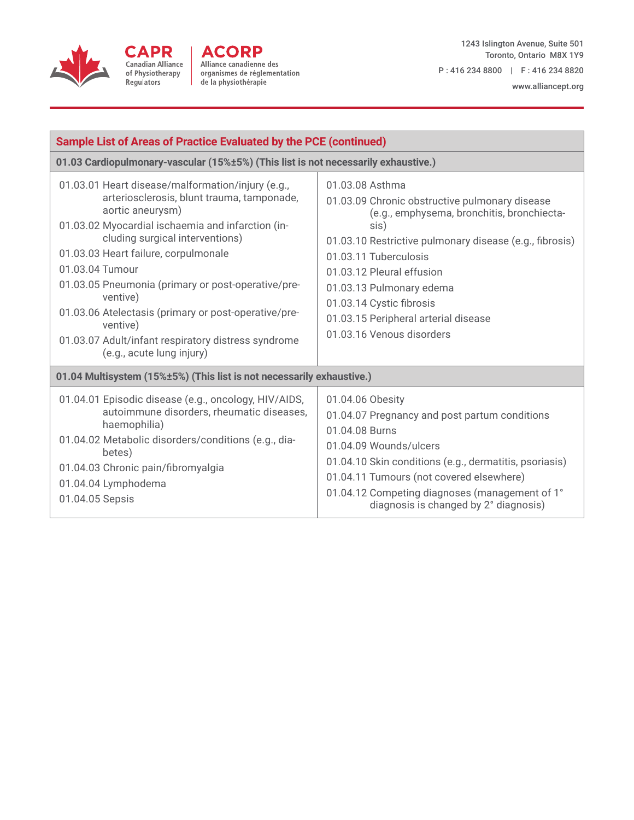



1243 Islington Avenue, Suite 501 Toronto, Ontario M8X 1Y9 P : 416 234 8800 | F : 416 234 8820

www.alliancept.org

| <b>Sample List of Areas of Practice Evaluated by the PCE (continued)</b>                                                                                                                                                                                                                                                                                                                                                                                                                         |                                                                                                                                                                                                                                                                                                                                                                       |  |
|--------------------------------------------------------------------------------------------------------------------------------------------------------------------------------------------------------------------------------------------------------------------------------------------------------------------------------------------------------------------------------------------------------------------------------------------------------------------------------------------------|-----------------------------------------------------------------------------------------------------------------------------------------------------------------------------------------------------------------------------------------------------------------------------------------------------------------------------------------------------------------------|--|
| 01.03 Cardiopulmonary-vascular (15%±5%) (This list is not necessarily exhaustive.)                                                                                                                                                                                                                                                                                                                                                                                                               |                                                                                                                                                                                                                                                                                                                                                                       |  |
| 01.03.01 Heart disease/malformation/injury (e.g.,<br>arteriosclerosis, blunt trauma, tamponade,<br>aortic aneurysm)<br>01.03.02 Myocardial ischaemia and infarction (in-<br>cluding surgical interventions)<br>01.03.03 Heart failure, corpulmonale<br>01.03.04 Tumour<br>01.03.05 Pneumonia (primary or post-operative/pre-<br>ventive)<br>01.03.06 Atelectasis (primary or post-operative/pre-<br>ventive)<br>01.03.07 Adult/infant respiratory distress syndrome<br>(e.g., acute lung injury) | 01.03.08 Asthma<br>01.03.09 Chronic obstructive pulmonary disease<br>(e.g., emphysema, bronchitis, bronchiecta-<br>sis)<br>01.03.10 Restrictive pulmonary disease (e.g., fibrosis)<br>01.03.11 Tuberculosis<br>01.03.12 Pleural effusion<br>01.03.13 Pulmonary edema<br>01.03.14 Cystic fibrosis<br>01.03.15 Peripheral arterial disease<br>01.03.16 Venous disorders |  |
| 01.04 Multisystem (15%±5%) (This list is not necessarily exhaustive.)                                                                                                                                                                                                                                                                                                                                                                                                                            |                                                                                                                                                                                                                                                                                                                                                                       |  |
| 01.04.01 Episodic disease (e.g., oncology, HIV/AIDS,<br>autoimmune disorders, rheumatic diseases,<br>haemophilia)<br>01.04.02 Metabolic disorders/conditions (e.g., dia-<br>betes)<br>01.04.03 Chronic pain/fibromyalgia<br>01.04.04 Lymphodema<br>01.04.05 Sepsis                                                                                                                                                                                                                               | 01.04.06 Obesity<br>01.04.07 Pregnancy and post partum conditions<br>01.04.08 Burns<br>01.04.09 Wounds/ulcers<br>01.04.10 Skin conditions (e.g., dermatitis, psoriasis)<br>01.04.11 Tumours (not covered elsewhere)<br>01.04.12 Competing diagnoses (management of 1°<br>diagnosis is changed by 2° diagnosis)                                                        |  |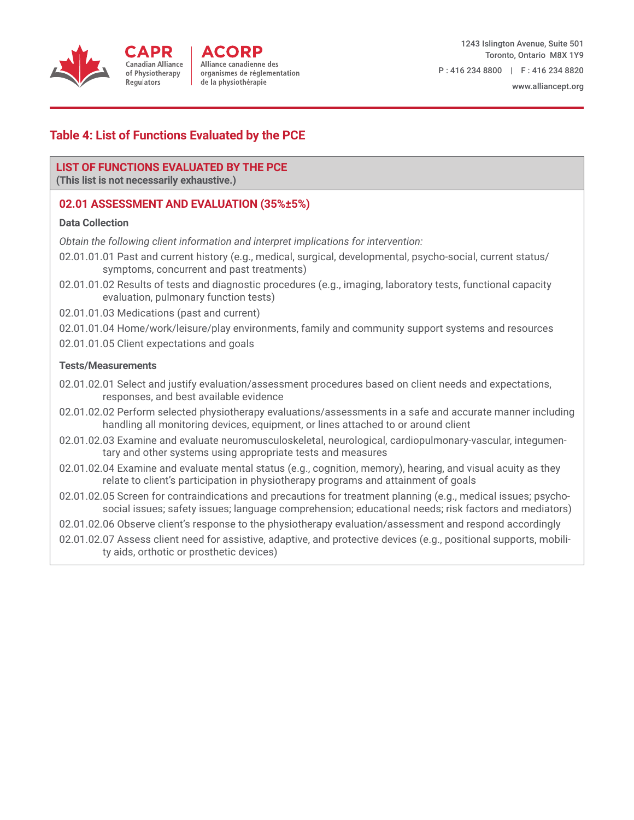

#### www.alliancept.org

# **Table 4: List of Functions Evaluated by the PCE**

### **LIST OF FUNCTIONS EVALUATED BY THE PCE**

**(This list is not necessarily exhaustive.)**

## **02.01 ASSESSMENT AND EVALUATION (35%±5%)**

#### **Data Collection**

*Obtain the following client information and interpret implications for intervention:*

- 02.01.01.01 Past and current history (e.g., medical, surgical, developmental, psycho-social, current status/ symptoms, concurrent and past treatments)
- 02.01.01.02 Results of tests and diagnostic procedures (e.g., imaging, laboratory tests, functional capacity evaluation, pulmonary function tests)
- 02.01.01.03 Medications (past and current)
- 02.01.01.04 Home/work/leisure/play environments, family and community support systems and resources
- 02.01.01.05 Client expectations and goals

#### **Tests/Measurements**

- 02.01.02.01 Select and justify evaluation/assessment procedures based on client needs and expectations, responses, and best available evidence
- 02.01.02.02 Perform selected physiotherapy evaluations/assessments in a safe and accurate manner including handling all monitoring devices, equipment, or lines attached to or around client
- 02.01.02.03 Examine and evaluate neuromusculoskeletal, neurological, cardiopulmonary-vascular, integumentary and other systems using appropriate tests and measures
- 02.01.02.04 Examine and evaluate mental status (e.g., cognition, memory), hearing, and visual acuity as they relate to client's participation in physiotherapy programs and attainment of goals
- 02.01.02.05 Screen for contraindications and precautions for treatment planning (e.g., medical issues; psychosocial issues; safety issues; language comprehension; educational needs; risk factors and mediators)
- 02.01.02.06 Observe client's response to the physiotherapy evaluation/assessment and respond accordingly
- 02.01.02.07 Assess client need for assistive, adaptive, and protective devices (e.g., positional supports, mobility aids, orthotic or prosthetic devices)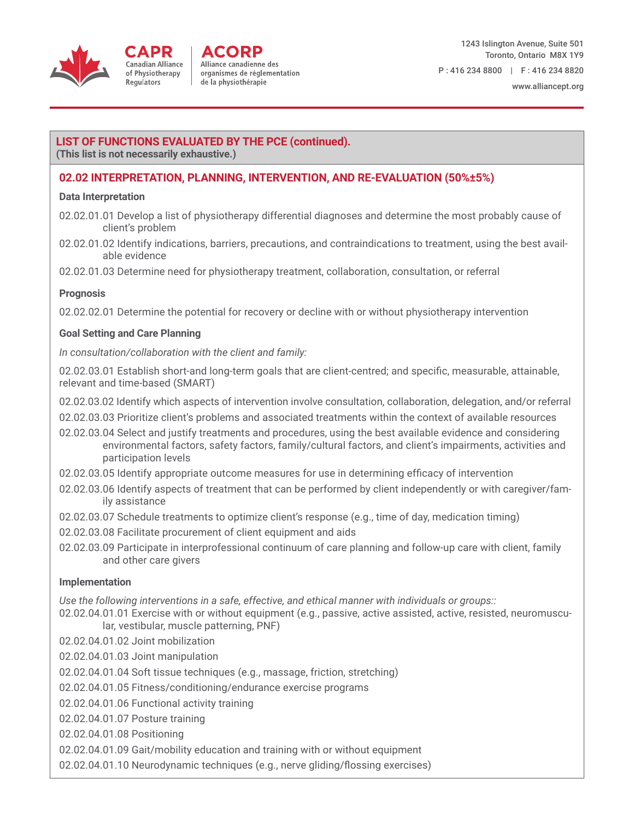

# **LIST OF FUNCTIONS EVALUATED BY THE PCE (continued).**

**(This list is not necessarily exhaustive.)**

### **02.02 INTERPRETATION, PLANNING, INTERVENTION, AND RE-EVALUATION (50%±5%)**

#### **Data Interpretation**

- 02.02.01.01 Develop a list of physiotherapy differential diagnoses and determine the most probably cause of client's problem
- 02.02.01.02 Identify indications, barriers, precautions, and contraindications to treatment, using the best available evidence

02.02.01.03 Determine need for physiotherapy treatment, collaboration, consultation, or referral

#### **Prognosis**

02.02.02.01 Determine the potential for recovery or decline with or without physiotherapy intervention

#### **Goal Setting and Care Planning**

*In consultation/collaboration with the client and family:*

02.02.03.01 Establish short-and long-term goals that are client-centred; and specific, measurable, attainable, relevant and time-based (SMART)

02.02.03.02 Identify which aspects of intervention involve consultation, collaboration, delegation, and/or referral

- 02.02.03.03 Prioritize client's problems and associated treatments within the context of available resources
- 02.02.03.04 Select and justify treatments and procedures, using the best available evidence and considering environmental factors, safety factors, family/cultural factors, and client's impairments, activities and participation levels
- 02.02.03.05 Identify appropriate outcome measures for use in determining efficacy of intervention
- 02.02.03.06 Identify aspects of treatment that can be performed by client independently or with caregiver/family assistance
- 02.02.03.07 Schedule treatments to optimize client's response (e.g., time of day, medication timing)
- 02.02.03.08 Facilitate procurement of client equipment and aids
- 02.02.03.09 Participate in interprofessional continuum of care planning and follow-up care with client, family and other care givers

#### **Implementation**

*Use the following interventions in a safe, effective, and ethical manner with individuals or groups::*

- 02.02.04.01.01 Exercise with or without equipment (e.g., passive, active assisted, active, resisted, neuromuscular, vestibular, muscle patterning, PNF)
- 02.02.04.01.02 Joint mobilization
- 02.02.04.01.03 Joint manipulation
- 02.02.04.01.04 Soft tissue techniques (e.g., massage, friction, stretching)
- 02.02.04.01.05 Fitness/conditioning/endurance exercise programs
- 02.02.04.01.06 Functional activity training
- 02.02.04.01.07 Posture training
- 02.02.04.01.08 Positioning
- 02.02.04.01.09 Gait/mobility education and training with or without equipment
- 02.02.04.01.10 Neurodynamic techniques (e.g., nerve gliding/flossing exercises)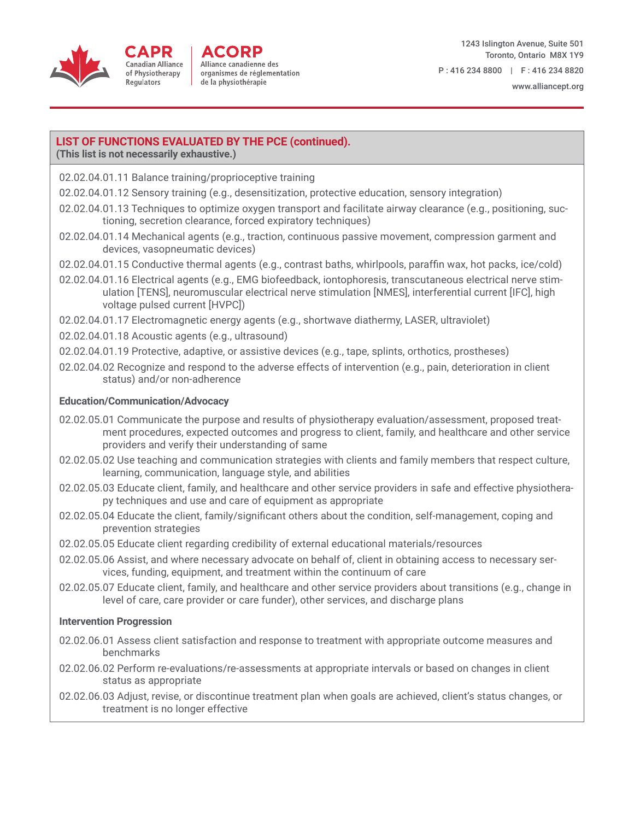

Alliance canadienne des organismes de réglementation de la physiothérapie

1243 Islington Avenue, Suite 501 Toronto, Ontario M8X 1Y9 P : 416 234 8800 | F : 416 234 8820

#### **LIST OF FUNCTIONS EVALUATED BY THE PCE (continued).**

**(This list is not necessarily exhaustive.)**

- 02.02.04.01.11 Balance training/proprioceptive training
- 02.02.04.01.12 Sensory training (e.g., desensitization, protective education, sensory integration)
- 02.02.04.01.13 Techniques to optimize oxygen transport and facilitate airway clearance (e.g., positioning, suctioning, secretion clearance, forced expiratory techniques)
- 02.02.04.01.14 Mechanical agents (e.g., traction, continuous passive movement, compression garment and devices, vasopneumatic devices)
- 02.02.04.01.15 Conductive thermal agents (e.g., contrast baths, whirlpools, paraffin wax, hot packs, ice/cold)
- 02.02.04.01.16 Electrical agents (e.g., EMG biofeedback, iontophoresis, transcutaneous electrical nerve stimulation [TENS], neuromuscular electrical nerve stimulation [NMES], interferential current [IFC], high voltage pulsed current [HVPC])
- 02.02.04.01.17 Electromagnetic energy agents (e.g., shortwave diathermy, LASER, ultraviolet)
- 02.02.04.01.18 Acoustic agents (e.g., ultrasound)
- 02.02.04.01.19 Protective, adaptive, or assistive devices (e.g., tape, splints, orthotics, prostheses)
- 02.02.04.02 Recognize and respond to the adverse effects of intervention (e.g., pain, deterioration in client status) and/or non-adherence

#### **Education/Communication/Advocacy**

- 02.02.05.01 Communicate the purpose and results of physiotherapy evaluation/assessment, proposed treatment procedures, expected outcomes and progress to client, family, and healthcare and other service providers and verify their understanding of same
- 02.02.05.02 Use teaching and communication strategies with clients and family members that respect culture, learning, communication, language style, and abilities
- 02.02.05.03 Educate client, family, and healthcare and other service providers in safe and effective physiotherapy techniques and use and care of equipment as appropriate
- 02.02.05.04 Educate the client, family/significant others about the condition, self-management, coping and prevention strategies
- 02.02.05.05 Educate client regarding credibility of external educational materials/resources
- 02.02.05.06 Assist, and where necessary advocate on behalf of, client in obtaining access to necessary services, funding, equipment, and treatment within the continuum of care
- 02.02.05.07 Educate client, family, and healthcare and other service providers about transitions (e.g., change in level of care, care provider or care funder), other services, and discharge plans

#### **Intervention Progression**

- 02.02.06.01 Assess client satisfaction and response to treatment with appropriate outcome measures and benchmarks
- 02.02.06.02 Perform re-evaluations/re-assessments at appropriate intervals or based on changes in client status as appropriate
- 02.02.06.03 Adjust, revise, or discontinue treatment plan when goals are achieved, client's status changes, or treatment is no longer effective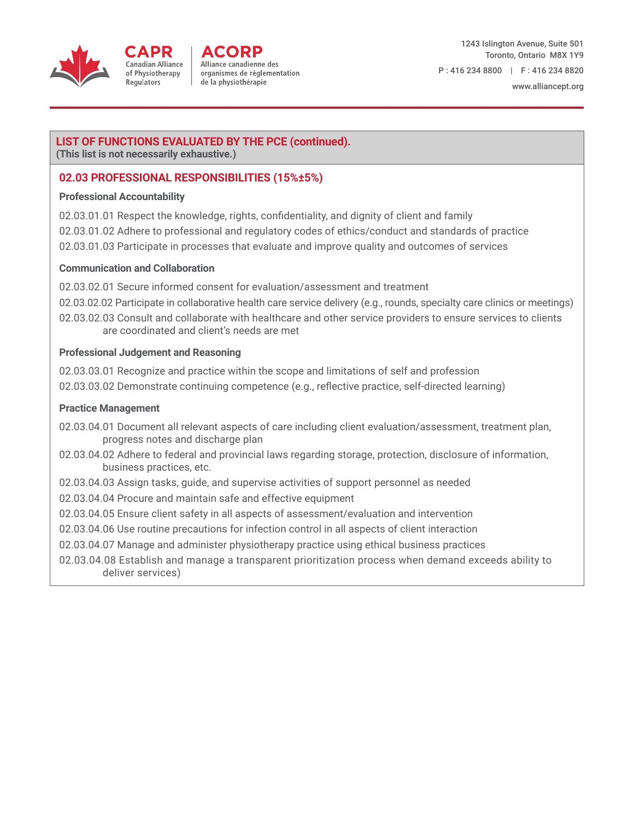

#### **LIST OF FUNCTIONS EVALUATED BY THE PCE (continued).**

**(This list is not necessarily exhaustive.)**

### **02.03 PROFESSIONAL RESPONSIBILITIES (15%±5%)**

#### **Professional Accountability**

- 02.03.01.01 Respect the knowledge, rights, confidentiality, and dignity of client and family
- 02.03.01.02 Adhere to professional and regulatory codes of ethics/conduct and standards of practice
- 02.03.01.03 Participate in processes that evaluate and improve quality and outcomes of services

#### **Communication and Collaboration**

- 02.03.02.01 Secure informed consent for evaluation/assessment and treatment
- 02.03.02.02 Participate in collaborative health care service delivery (e.g., rounds, specialty care clinics or meetings)
- 02.03.02.03 Consult and collaborate with healthcare and other service providers to ensure services to clients are coordinated and client's needs are met

#### **Professional Judgement and Reasoning**

- 02.03.03.01 Recognize and practice within the scope and limitations of self and profession
- 02.03.03.02 Demonstrate continuing competence (e.g., reflective practice, self-directed learning)

#### **Practice Management**

- 02.03.04.01 Document all relevant aspects of care including client evaluation/assessment, treatment plan, progress notes and discharge plan
- 02.03.04.02 Adhere to federal and provincial laws regarding storage, protection, disclosure of information, business practices, etc.
- 02.03.04.03 Assign tasks, guide, and supervise activities of support personnel as needed
- 02.03.04.04 Procure and maintain safe and effective equipment
- 02.03.04.05 Ensure client safety in all aspects of assessment/evaluation and intervention
- 02.03.04.06 Use routine precautions for infection control in all aspects of client interaction
- 02.03.04.07 Manage and administer physiotherapy practice using ethical business practices
- 02.03.04.08 Establish and manage a transparent prioritization process when demand exceeds ability to deliver services)